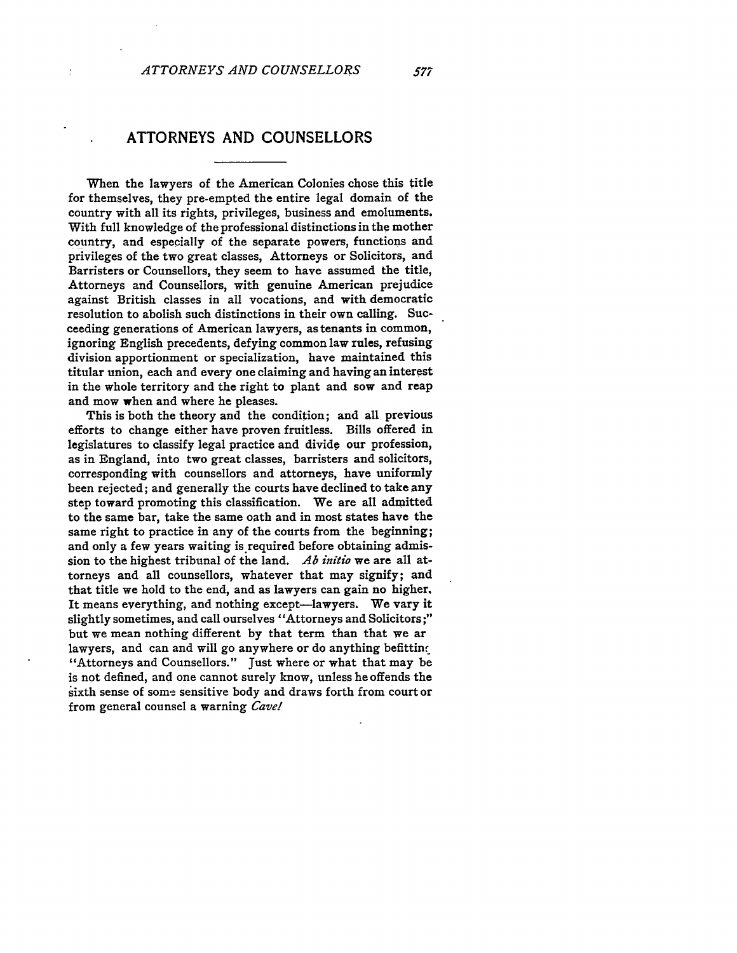## ATTORNEYS **AND COUNSELLORS**

When the lawyers of the American Colonies chose this title for themselves, they pre-empted the entire legal domain of the country with all its rights, privileges, business and emoluments. With full knowledge of the professional distinctions in the mother country, and especially of the separate powers, functions and privileges of the two great classes, Attorneys or Solicitors, and Barristers or Counsellors, they seem to have assumed the title, Attorneys and Counsellors, with genuine American prejudice against British classes in all vocations, and with democratic resolution to abolish such distinctions in their own calling. Succeeding generations of American lawyers, as tenants in common, ignoring English precedents, defying common law rules, refusing division apportionment or specialization, have maintained this titular union, each and every one claiming and having an interest in the whole territory and the right to plant and sow and reap and mow when and where he pleases.

This is both the theory and the condition; and all previous efforts to change either have proven fruitless. Bills offered in legislatures to classify legal practice and divide our profession, as in England, into two great classes, barristers and solicitors, corresponding with counsellors and attorneys, have uniformly been rejected; and generally the courts have declined to take any step toward promoting this classification. We are all admitted to the same bar, take the same oath and in most states have the same right to practice in any of the courts from the beginning; and only a few years waiting is required before obtaining admission to the highest tribunal of the land. *Ab initio* we are all attorneys and all counsellors, whatever that may signify; and that title we hold to the end, and as lawyers can gain no higher. It means everything, and nothing except-lawyers. We vary it slightly sometimes, and call ourselves "Attorneys and Solicitors;" but we mean nothing different by that term than that we ar lawyers, and can and will go anywhere or do anything befitting "Attorneys and Counsellors." Just where or what that may be is not defined, and one cannot surely know, unless he offends the sixth sense of some sensitive body and draws forth from court or from general counsel a warning *Cave!*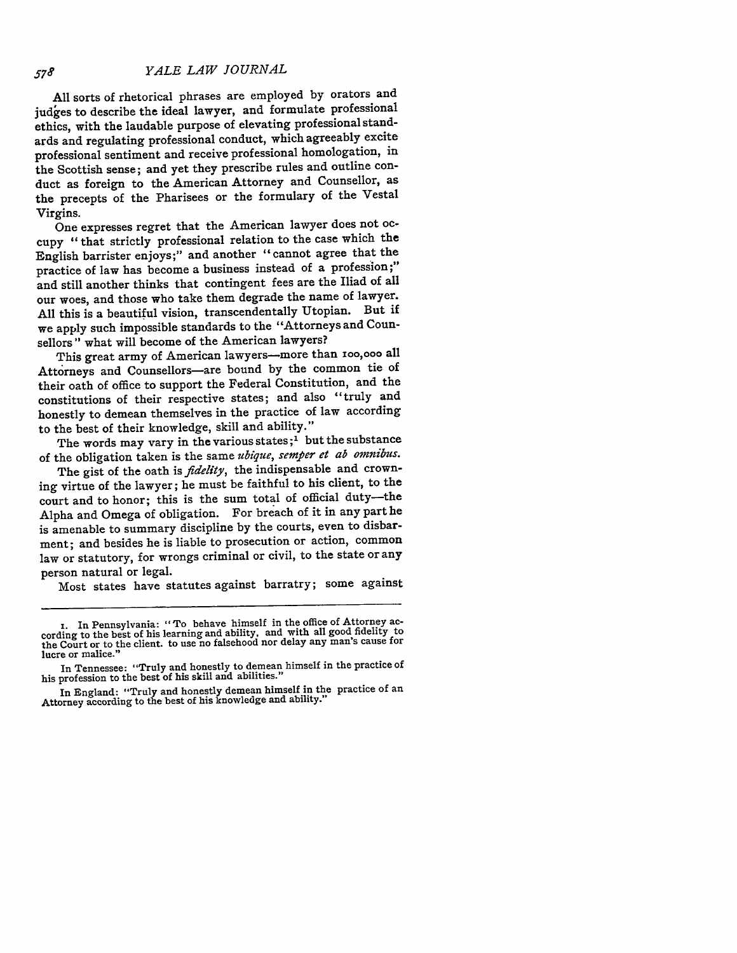*YALE LAW JOURNAL*

**All** sorts of rhetorical phrases are employed by orators and judges to describe the ideal lawyer, and formulate professional ethics, with the laudable purpose of elevating professional standards and regulating professional conduct, which agreeably excite professional sentiment and receive professional homologation, in the Scottish sense; and yet they prescribe rules and outline conduct as foreign to the American Attorney and Counsellor, as the precepts of the Pharisees or the formulary of the Vestal Virgins.

One expresses regret that the American lawyer does not occupy "that strictly professional relation to the case which the English barrister enjoys;" and another "cannot agree that the practice of law has become a business instead of a profession;" and still another thinks that contingent fees are the Iliad of all our woes, and those who take them degrade the name of lawyer. All this is a beautiful vision, transcendentally Utopian. But if we apply such impossible standards to the "Attorneys and Counsellors" what will become of the American lawyers?

This great army of American lawyers---more than 100,000 all Attorneys and Counsellors-are bound by the common tie of their oath of office to support the Federal Constitution, and the constitutions of their respective states; and also "truly and honestly to demean themselves in the practice of law according to the best of their knowledge, skill and ability."

The words may vary in the various states;<sup>1</sup> but the substance of the obligation taken is the same *ubique, semper et ab omnibus.*

The gist of the oath is *fidelity,* the indispensable and crowning virtue of the lawyer; he must be faithful to his client, to the court and to honor; this is the sum total of official duty-the Alpha and Omega of obligation. For breach of it in any part he is amenable to summary discipline by the courts, even to disbarment; and besides he is liable to prosecution or action, common law or statutory, for wrongs criminal or civil, to the state or any person natural or legal.

Most states have statutes against barratry; some against

 $578$ 

**x.** In Pennsylvania: "To behave himself in the office of Attorney according to the best of his learning and ability, and with all good fidelity to the Court or to the client, to use no falsehood nor delay any man's cause for lucre or malice.

In Tennessee: "Truly and honestly to demean himself in the practice of his profession to the best of his skill and abilities."

In England: "Truly and honestly demean himself in the practice of an Attorney according to the best of his knowledge and ability.'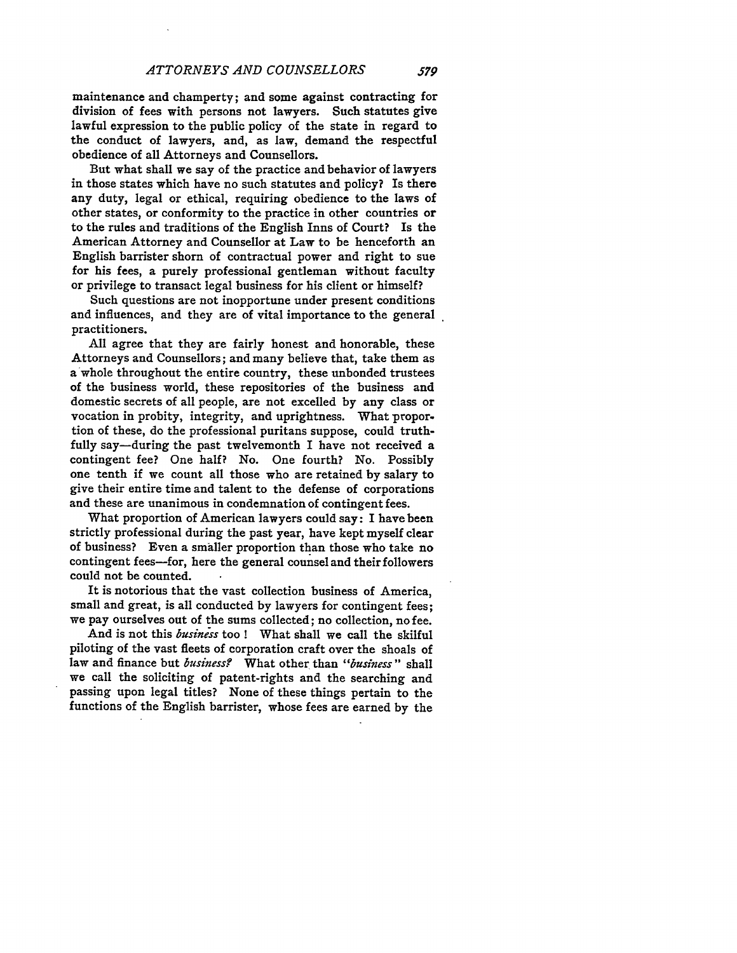maintenance and champerty; and some against contracting for division of fees with persons not lawyers. Such statutes give lawful expression to the public policy of the state in regard to the conduct of lawyers, and, as law, demand the respectful obedience of all Attorneys and Counsellors.

But what shall we say of the practice and behavior of lawyers in those states which have no such statutes and policy? Is there any duty, legal or ethical, requiring obedience to the laws of other states, or conformity to the practice in other countries or to the rules and traditions of the English Inns of Court? Is the American Attorney and Counsellor at Law to be henceforth an English barrister shorn of contractual power and right to sue for his fees, a purely professional gentleman without faculty or privilege to transact legal business for his client or himself?

Such questions are not inopportune under present conditions and influences, and they are of vital importance to the general practitioners.

All agree that they are fairly honest and honorable, these Attorneys and Counsellors; and many believe that, take them as **a** whole throughout the entire country, these unbonded trustees of the business world, these repositories of the business and domestic secrets of all people, are not excelled by any class or vocation in probity, integrity, and uprightness. What proportion of these, do the professional puritans suppose, could truthfully say-during the past twelvemonth I have not received a contingent fee? One half? No. One fourth? No. Possibly one tenth if we count all those who are retained by salary to give their entire time and talent to the defense of corporations and these are unanimous in condemnation of contingent fees.

What proportion of American lawyers could say: I have been strictly professional during the past year, have kept myself clear of business? Even a smaller proportion than those who take no contingent fees-for, here the general counsel and their followers could not be counted.

It is notorious that the vast collection business of America, small and great, is all conducted by lawyers for contingent fees; we pay ourselves out of the sums collected; no collection, no fee.

And is not this *business* too ! What shall we call the skilful piloting of the vast fleets of corporation craft over the shoals of law and finance but *business.?* What other than *"business"* shall we call the soliciting of patent-rights and the searching and passing upon legal titles? None of these things pertain to the functions of the English barrister, whose fees are earned by the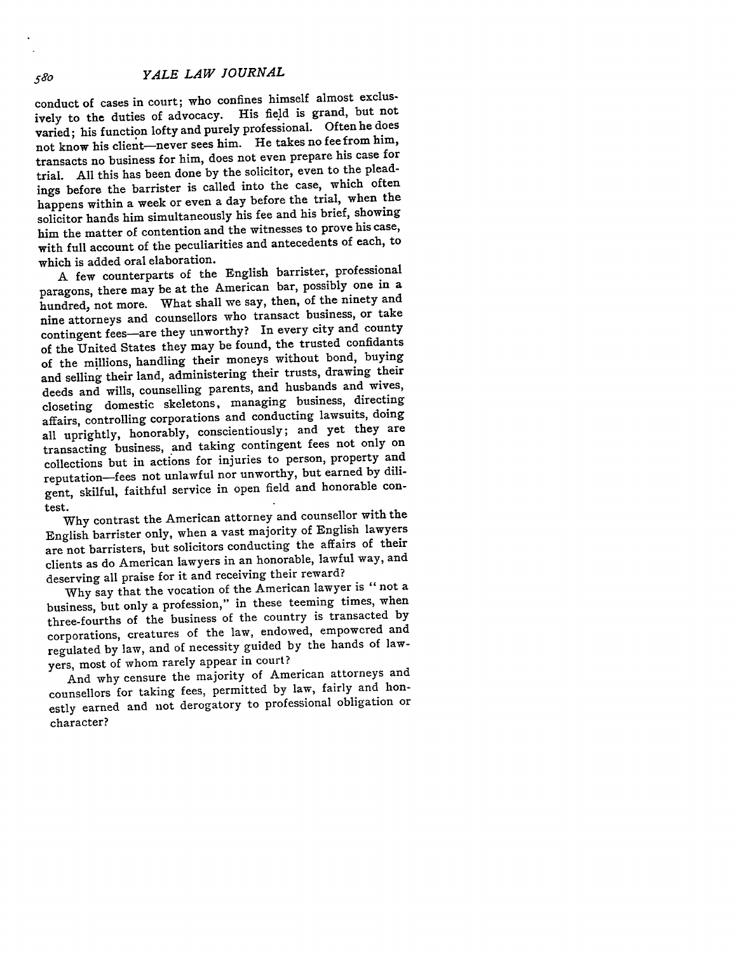*58o YALE LAW JOURNAL*

conduct of cases in court; who confines himself almost exclusively to the duties of advocacy. His field is grand, but not varied; his function lofty and purely professional. Often he does not know his client-never sees him. He takes no feefrom him, transacts no business for him, does not even prepare his case for trial. All this has been done by the solicitor, even to the pleadings before the barrister is called into the case, which often happens within a week or even a day before the trial, when the solicitor hands him simultaneously his fee and his brief, showing him the matter of contention and the witnesses to prove his case, with full account of the peculiarities and antecedents of each, to which is added oral elaboration.

A few counterparts of the English barrister, professional paragons, there may be at the American bar, possibly one in a hundred, not more. What shall we say, then, of the ninety and nine attorneys and counsellors who transact business, or take contingent fees-are they unworthy? In every city and county of the United States they may be found, the trusted confidants of the millions, handling their moneys without bond, buying and selling their land, administering their trusts, drawing their deeds and wills, counselling parents, and husbands and wives, closeting domestic skeletons, managing business, directing affairs, controlling corporations and conducting lawsuits, doing all uprightly, honorably, conscientiously; and yet they are transacting business, and taking contingent fees not only on collections but in actions for injuries to person, property and reputation-fees not unlawful nor unworthy, but earned by diligent, skilful, faithful service in open field and honorable contest.

Why contrast the American attorney and counsellor with the English barrister only, when a vast majority of English lawyers are not barristers, but solicitors conducting the affairs of their clients as do American lawyers in an honorable, lawful way, and deserving all praise for it and receiving their reward?

Why say that the vocation of the American lawyer is "not a business, but only a profession," in these teeming times, when three-fourths of the business of the country is transacted by corporations, creatures of the law, endowed, empowered and regulated by law, and of necessity guided by the hands of lawyers, most of whom rarely appear in court?

And why censure the majority of American attorneys and counsellors for taking fees, permitted by law, fairly and honestly earned and not derogatory to professional obligation or character?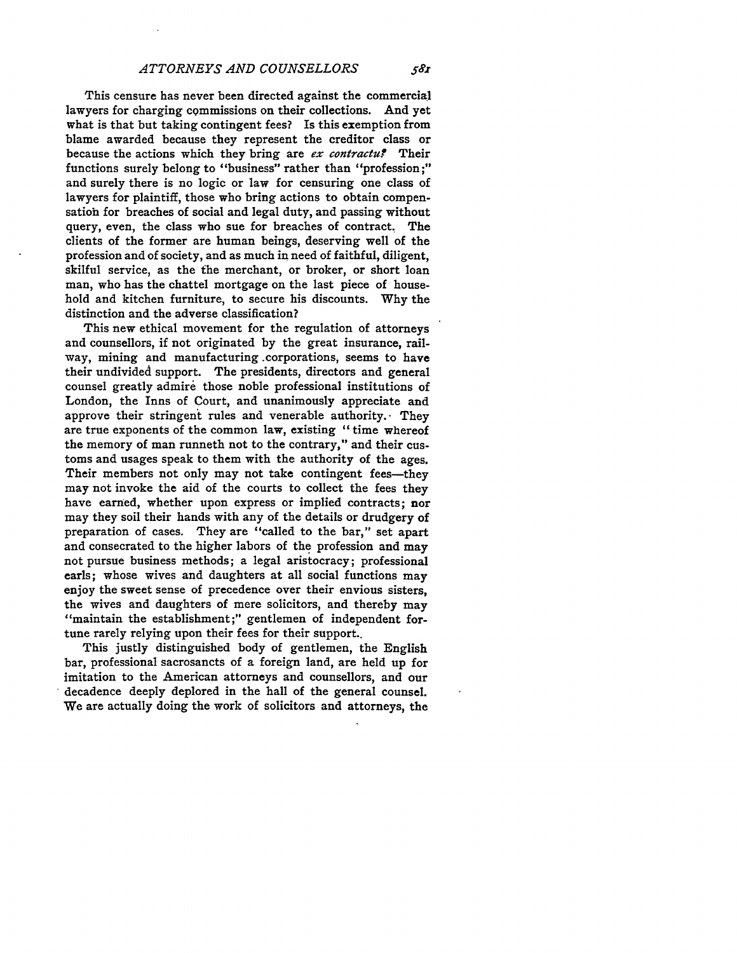This censure has never been directed against the commercial lawyers for charging commissions on their collections. And yet what is that but taking contingent fees? Is this exemption from blame awarded because they represent the creditor class or because the actions which they bring are *ex contractuf* Their functions surely belong to "business" rather than "profession;" and surely there is no logic or law for censuring one class of lawyers for plaintiff, those who bring actions to obtain compensatioh for breaches of social and legal duty, and passing without query, even, the class who sue for breaches of contract, The clients of the former are human beings, deserving well of the profession and of society, and as much in need of faithful, diligent, skilful service, as the the merchant, or broker, or short loan man, who has the chattel mortgage on the last piece of household and kitchen furniture, to secure his discounts. Why the distinction and the adverse classification?

This new ethical movement for the regulation of attorneys and counsellors, if not originated by the great insurance, railway, mining and manufacturing .corporations, seems to have their undivided support. The presidents, directors and general counsel greatly admire those noble professional institutions of London, the Inns of Court, and unanimously appreciate and approve their stringent rules and venerable authority. They are true exponents of the common law, existing "time whereof the memory of man runneth not to the contrary," and their customs and usages speak to them with the authority of the ages. Their members not only may not take contingent fees-they may not invoke the aid of the courts to collect the fees they have earned, whether upon express or implied contracts: nor may they soil their hands with any of the details or drudgery of preparation of cases. They are "called to the bar," set apart and consecrated to the higher labors of the profession and may not pursue business methods; a legal aristocracy; professional earls; whose wives and daughters at all social functions may enjoy the sweet sense of precedence over their envious sisters, the wives and daughters of mere solicitors, and thereby may "maintain the establishment;" gentlemen of independent fortune rarely relying upon their fees for their support..

This justly distinguished body of gentlemen, the English bar, professional sacrosancts of a foreign land, are held up for imitation to the American attorneys and counsellors, and our decadence deeply deplored in the hall of the general counsel. We are actually doing the work of solicitors and attorneys, the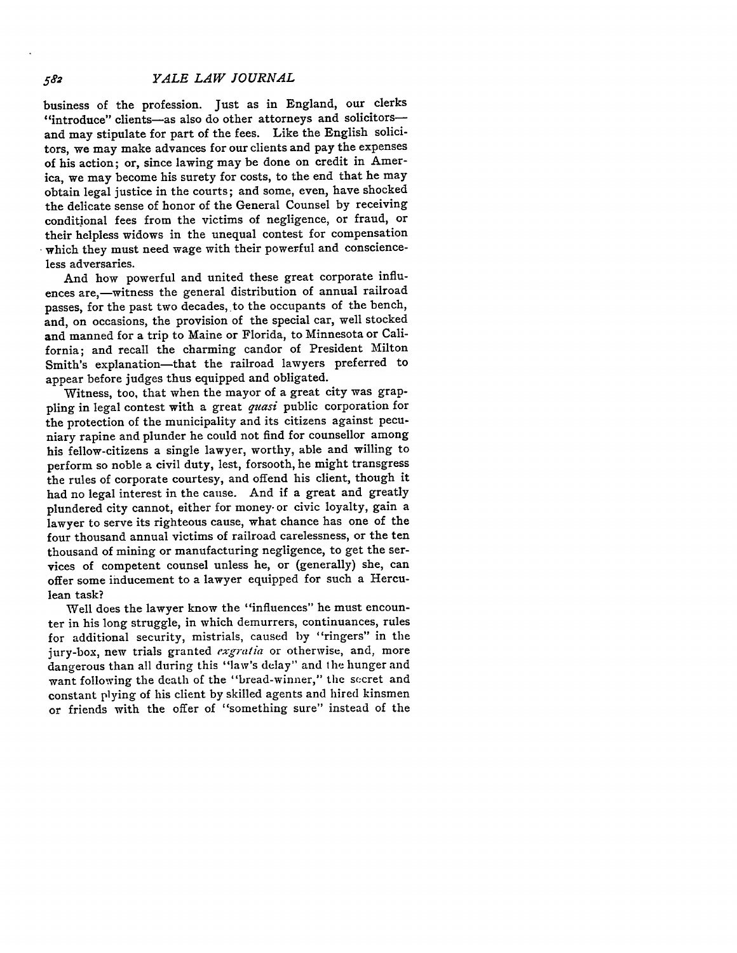*YALE LAW JOURNAL*

business of the profession. Just as in England, our clerks "introduce" clients-as also do other attorneys and solicitorsand may stipulate for part of the fees. Like the English solicitors, we may make advances for our clients and pay the expenses of his action; or, since lawing may be done on credit in America, we may become his surety for costs, to the end that he may obtain legal justice in the courts; and some, even, have shocked the delicate sense of honor of the General Counsel by receiving conditional fees from the victims of negligence, or fraud, or their helpless widows in the unequal contest for compensation which they must need wage with their powerful and conscienceless adversaries.

And how powerful and united these great corporate influences are,-witness the general distribution of annual railroad passes, for the past two decades, to the occupants of the bench, and, on occasions, the provision of the special car, well stocked and manned for a trip to Maine or Florida, to Minnesota or California; and recall the charming candor of President Milton Smith's explanation-that the railroad lawyers preferred to appear before judges thus equipped and obligated.

Witness, too, that when the mayor of a great city was grappling in legal contest with a great *quasi* public corporation for the protection of the municipality and its citizens against pecuniary rapine and plunder he could not find for counsellor among his fellow-citizens a single lawyer, worthy, able and willing to perform so noble a civil duty, lest, forsooth, he might transgress the rules of corporate courtesy, and offend his client, though it had no legal interest in the cause. And if a great and greatly plundered city cannot, either for money- or civic loyalty, gain a lawyer to serve its righteous cause, what chance has one of the four thousand annual victims of railroad carelessness, or the ten thousand of mining or manufacturing negligence, to get the services of competent counsel unless he, or (generally) she, can offer some inducement to a lawyer equipped for such a Herculean task?

Well does the lawyer know the "influences" he must encounter in his long struggle, in which demurrers, continuances, rules for additional security, mistrials, caused by "ringers" in the jury-box, new trials granted *exgratia* or otherwise, and, more dangerous than all during this "law's delay" and the hunger and want following the death of the "bread-winner," the secret and constant plying of his client by skilled agents and hired kinsmen or friends with the offer of "something sure" instead of the

582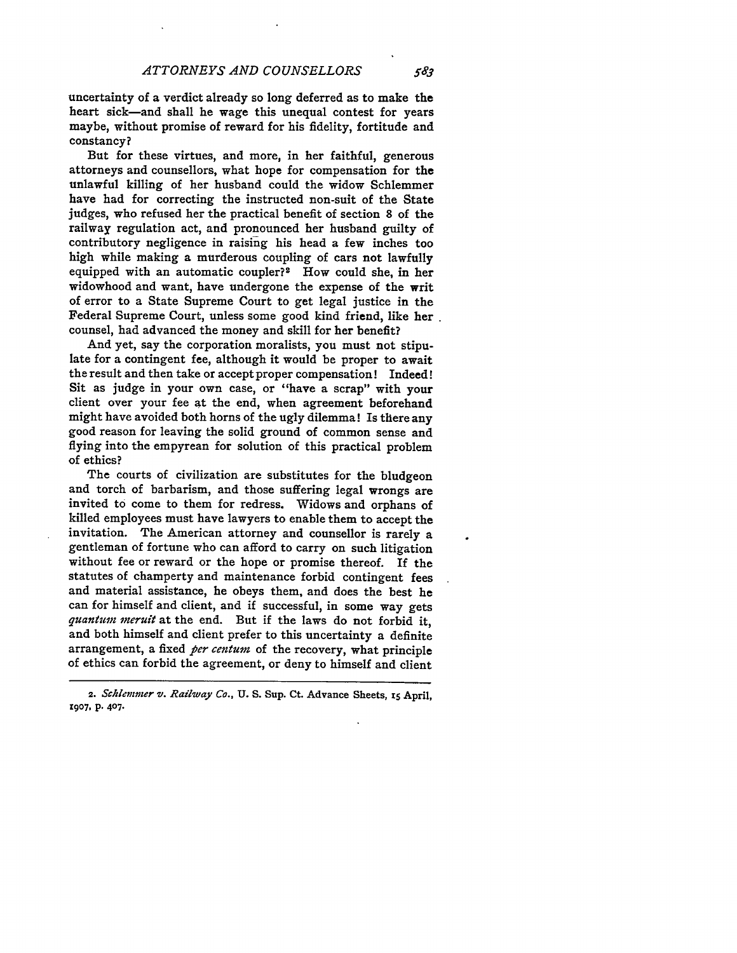uncertainty of a verdict already so long deferred as to make the heart sick-and shall he wage this unequal contest for years maybe, without promise of reward for his fidelity, fortitude and constancy?

But for these virtues, and more, in her faithful, generous attorneys and counsellors, what hope for compensation for the unlawful killing of her husband could the widow Schlemmer have had for correcting the instructed non-suit of the State judges, who refused her the practical benefit of section **8** of the railway regulation act, and pronounced her husband guilty of contributory negligence in raising his head a few inches too high while making a murderous coupling of cars not lawfully equipped with an automatic coupler?2 How could she, in her widowhood and want, have undergone the expense of the writ of error to a State Supreme Court to get legal justice in the Federal Supreme Court, unless some good kind friend, like her counsel, had advanced the money and skill for her benefit?

And yet, say the corporation moralists, you must not stipulate for a contingent fee, although it would be proper to await the result and then take or accept proper compensation! Indeed! Sit as judge in your own case, or "have a scrap" with your client over your fee at the end, when agreement beforehand might have avoided both horns of the ugly dilemma! Is there any good reason for leaving the solid ground of common sense and flying into the empyrean for solution of this practical problem of ethics?

The courts of civilization are substitutes for the bludgeon and torch of barbarism, and those suffering legal wrongs are invited to come to them for redress. Widows and orphans of killed employees must have lawyers to enable them to accept the invitation. The American attorney and counsellor is rarely a gentleman of fortune who can afford to carry on such litigation without fee or reward or the hope or promise thereof. If the statutes of champerty and maintenance forbid contingent fees and material assistance, he obeys them, and does the best he can for himself and client, and if successful, in some way gets *quantum meruit* at the end. But if the laws do not forbid it, and both himself and client prefer to this uncertainty a definite arrangement, a fixed *per centum* of the recovery, what principle of ethics can forbid the agreement, or deny to himself and client

*<sup>2.</sup> Schlemmer v. Railway Co.,* **U. S.** Sup. Ct. Advance Sheets, 15 April, **1907,** p. 407.